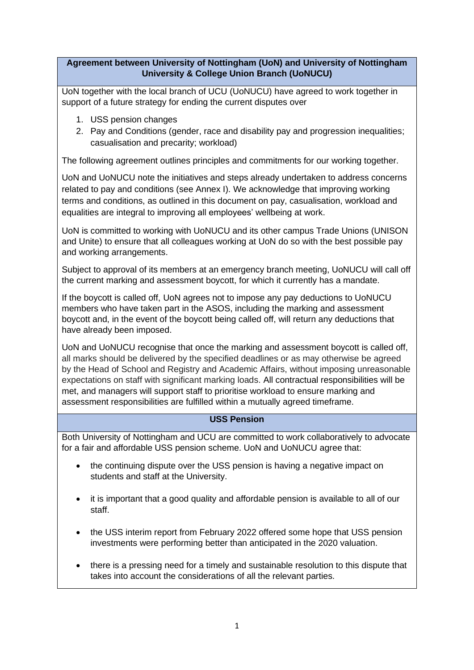## **Agreement between University of Nottingham (UoN) and University of Nottingham University & College Union Branch (UoNUCU)**

UoN together with the local branch of UCU (UoNUCU) have agreed to work together in support of a future strategy for ending the current disputes over

- 1. USS pension changes
- 2. Pay and Conditions (gender, race and disability pay and progression inequalities; casualisation and precarity; workload)

The following agreement outlines principles and commitments for our working together.

UoN and UoNUCU note the initiatives and steps already undertaken to address concerns related to pay and conditions (see Annex I). We acknowledge that improving working terms and conditions, as outlined in this document on pay, casualisation, workload and equalities are integral to improving all employees' wellbeing at work.

UoN is committed to working with UoNUCU and its other campus Trade Unions (UNISON and Unite) to ensure that all colleagues working at UoN do so with the best possible pay and working arrangements.

Subject to approval of its members at an emergency branch meeting, UoNUCU will call off the current marking and assessment boycott, for which it currently has a mandate.

If the boycott is called off, UoN agrees not to impose any pay deductions to UoNUCU members who have taken part in the ASOS, including the marking and assessment boycott and, in the event of the boycott being called off, will return any deductions that have already been imposed.

UoN and UoNUCU recognise that once the marking and assessment boycott is called off, all marks should be delivered by the specified deadlines or as may otherwise be agreed by the Head of School and Registry and Academic Affairs, without imposing unreasonable expectations on staff with significant marking loads. All contractual responsibilities will be met, and managers will support staff to prioritise workload to ensure marking and assessment responsibilities are fulfilled within a mutually agreed timeframe.

# **USS Pension**

Both University of Nottingham and UCU are committed to work collaboratively to advocate for a fair and affordable USS pension scheme. UoN and UoNUCU agree that:

- the continuing dispute over the USS pension is having a negative impact on students and staff at the University.
- it is important that a good quality and affordable pension is available to all of our staff.
- the USS interim report from February 2022 offered some hope that USS pension investments were performing better than anticipated in the 2020 valuation.
- there is a pressing need for a timely and sustainable resolution to this dispute that takes into account the considerations of all the relevant parties.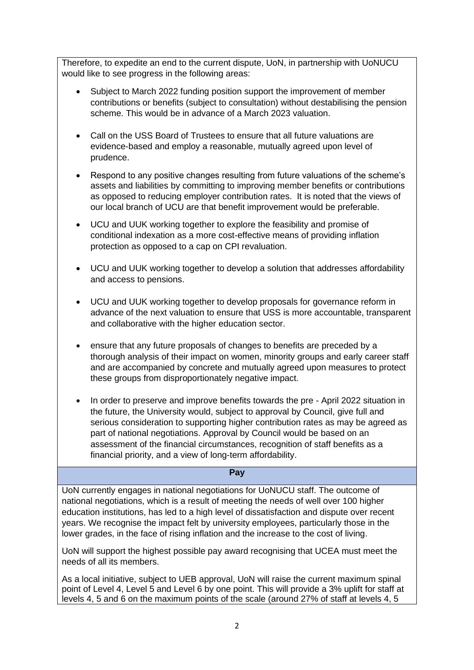Therefore, to expedite an end to the current dispute, UoN, in partnership with UoNUCU would like to see progress in the following areas:

- Subject to March 2022 funding position support the improvement of member contributions or benefits (subject to consultation) without destabilising the pension scheme. This would be in advance of a March 2023 valuation.
- Call on the USS Board of Trustees to ensure that all future valuations are evidence-based and employ a reasonable, mutually agreed upon level of prudence.
- Respond to any positive changes resulting from future valuations of the scheme's assets and liabilities by committing to improving member benefits or contributions as opposed to reducing employer contribution rates. It is noted that the views of our local branch of UCU are that benefit improvement would be preferable.
- UCU and UUK working together to explore the feasibility and promise of conditional indexation as a more cost-effective means of providing inflation protection as opposed to a cap on CPI revaluation.
- UCU and UUK working together to develop a solution that addresses affordability and access to pensions.
- UCU and UUK working together to develop proposals for governance reform in advance of the next valuation to ensure that USS is more accountable, transparent and collaborative with the higher education sector.
- ensure that any future proposals of changes to benefits are preceded by a thorough analysis of their impact on women, minority groups and early career staff and are accompanied by concrete and mutually agreed upon measures to protect these groups from disproportionately negative impact.
- In order to preserve and improve benefits towards the pre April 2022 situation in the future, the University would, subject to approval by Council, give full and serious consideration to supporting higher contribution rates as may be agreed as part of national negotiations. Approval by Council would be based on an assessment of the financial circumstances, recognition of staff benefits as a financial priority, and a view of long-term affordability.

## **Pay**

UoN currently engages in national negotiations for UoNUCU staff. The outcome of national negotiations, which is a result of meeting the needs of well over 100 higher education institutions, has led to a high level of dissatisfaction and dispute over recent years. We recognise the impact felt by university employees, particularly those in the lower grades, in the face of rising inflation and the increase to the cost of living.

UoN will support the highest possible pay award recognising that UCEA must meet the needs of all its members.

As a local initiative, subject to UEB approval, UoN will raise the current maximum spinal point of Level 4, Level 5 and Level 6 by one point. This will provide a 3% uplift for staff at levels 4, 5 and 6 on the maximum points of the scale (around 27% of staff at levels 4, 5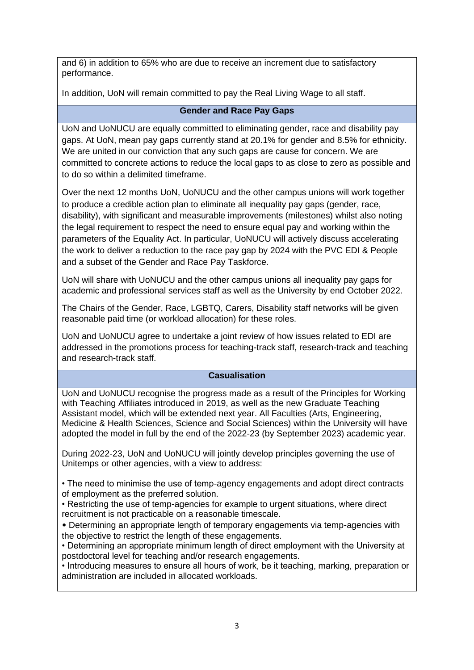and 6) in addition to 65% who are due to receive an increment due to satisfactory performance.

In addition, UoN will remain committed to pay the Real Living Wage to all staff.

# **Gender and Race Pay Gaps**

UoN and UoNUCU are equally committed to eliminating gender, race and disability pay gaps. At UoN, mean pay gaps currently stand at 20.1% for gender and 8.5% for ethnicity. We are united in our conviction that any such gaps are cause for concern. We are committed to concrete actions to reduce the local gaps to as close to zero as possible and to do so within a delimited timeframe.

Over the next 12 months UoN, UoNUCU and the other campus unions will work together to produce a credible action plan to eliminate all inequality pay gaps (gender, race, disability), with significant and measurable improvements (milestones) whilst also noting the legal requirement to respect the need to ensure equal pay and working within the parameters of the Equality Act. In particular, UoNUCU will actively discuss accelerating the work to deliver a reduction to the race pay gap by 2024 with the PVC EDI & People and a subset of the Gender and Race Pay Taskforce.

UoN will share with UoNUCU and the other campus unions all inequality pay gaps for academic and professional services staff as well as the University by end October 2022.

The Chairs of the Gender, Race, LGBTQ, Carers, Disability staff networks will be given reasonable paid time (or workload allocation) for these roles.

UoN and UoNUCU agree to undertake a joint review of how issues related to EDI are addressed in the promotions process for teaching-track staff, research-track and teaching and research-track staff.

## **Casualisation**

UoN and UoNUCU recognise the progress made as a result of the Principles for Working with Teaching Affiliates introduced in 2019, as well as the new Graduate Teaching Assistant model, which will be extended next year. All Faculties (Arts, Engineering, Medicine & Health Sciences, Science and Social Sciences) within the University will have adopted the model in full by the end of the 2022-23 (by September 2023) academic year.

During 2022-23, UoN and UoNUCU will jointly develop principles governing the use of Unitemps or other agencies, with a view to address:

• The need to minimise the use of temp-agency engagements and adopt direct contracts of employment as the preferred solution.

• Restricting the use of temp-agencies for example to urgent situations, where direct recruitment is not practicable on a reasonable timescale.

• Determining an appropriate length of temporary engagements via temp-agencies with the objective to restrict the length of these engagements.

• Determining an appropriate minimum length of direct employment with the University at postdoctoral level for teaching and/or research engagements.

• Introducing measures to ensure all hours of work, be it teaching, marking, preparation or administration are included in allocated workloads.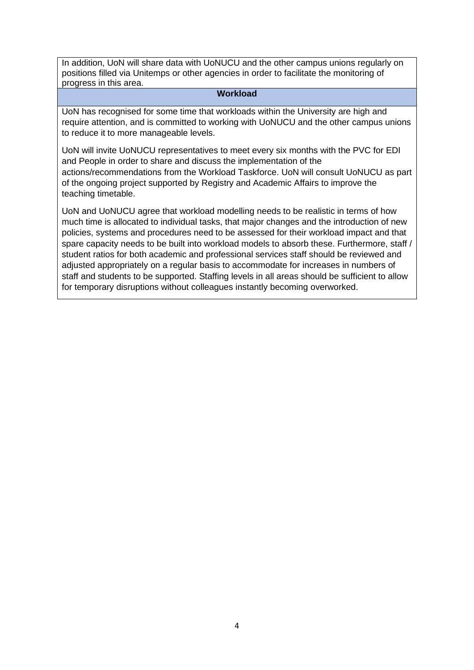In addition, UoN will share data with UoNUCU and the other campus unions regularly on positions filled via Unitemps or other agencies in order to facilitate the monitoring of progress in this area.

## **Workload**

UoN has recognised for some time that workloads within the University are high and require attention, and is committed to working with UoNUCU and the other campus unions to reduce it to more manageable levels.

UoN will invite UoNUCU representatives to meet every six months with the PVC for EDI and People in order to share and discuss the implementation of the actions/recommendations from the Workload Taskforce. UoN will consult UoNUCU as part of the ongoing project supported by Registry and Academic Affairs to improve the teaching timetable.

UoN and UoNUCU agree that workload modelling needs to be realistic in terms of how much time is allocated to individual tasks, that major changes and the introduction of new policies, systems and procedures need to be assessed for their workload impact and that spare capacity needs to be built into workload models to absorb these. Furthermore, staff / student ratios for both academic and professional services staff should be reviewed and adjusted appropriately on a regular basis to accommodate for increases in numbers of staff and students to be supported. Staffing levels in all areas should be sufficient to allow for temporary disruptions without colleagues instantly becoming overworked.